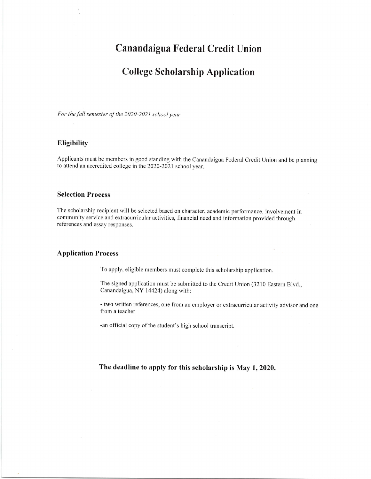# Canandaigua Federal Credit Union

# College Scholarship Application

For the fall semester of the 2020-2021 school year

#### Eligibility

Applicants must be members in good standing with the Canandaigua Federal Credit Union and be planning to attend an accredited college in the 2020-2021 school year.

#### Selection Process

The scholarship recipient will be selected based on character, academic performance, involvement in community service and extracurricular activities, financial need and information provided through references and essay responses.

#### Application Process

To apply, eligible members must complete this scholarship application.

The signed application must be submitted to the Credit Union (3210 Eastern Blvd., Canandaigua, NY 14424) along with:

- two written references, one from an employer or extracurricular activity advisor and one from a teacher

-an official copy of the student's high school transcript.

The deadline to apply for this scholarship is May 1,2020.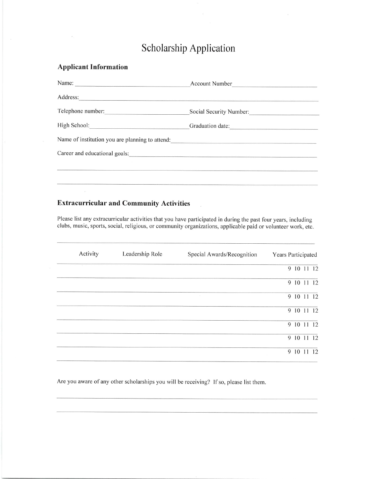# <sup>S</sup>cholarship Application

## Applicant Information

| Name: 2008. 2008. 2010. 2010. 2012. 2013. 2014. 2014. 2015. 2016. 2017. 2018. 2019. 2014. 2016. 2016. 2017. 20 | Account Number          |
|----------------------------------------------------------------------------------------------------------------|-------------------------|
|                                                                                                                |                         |
|                                                                                                                | Social Security Number: |
|                                                                                                                | Graduation date:        |
| Name of institution you are planning to attend:                                                                |                         |
|                                                                                                                |                         |
|                                                                                                                |                         |
|                                                                                                                |                         |

## Extracurricular and Community Activities

Please list any extracurricular activities that you have participated in during the past four years, including clubs, music, sports, social, religious, or community organizations, applicable paid or volunteer work, etc.

| Activity | Leadership Role | Special Awards/Recognition<br>Years Participated |
|----------|-----------------|--------------------------------------------------|
| $\sim$   |                 | 9 10 11 12                                       |
|          |                 | 9 10 11<br>12                                    |
|          |                 | 9 10 11 12<br>$\geq$                             |
|          |                 | 9 10 11 12                                       |
|          |                 | 9 10 11 12                                       |
|          |                 | 9 10 11<br>12                                    |
|          |                 | 9<br>10<br>12<br>11                              |

Are you aware of any other scholarships you will be receiving? If so, please list them.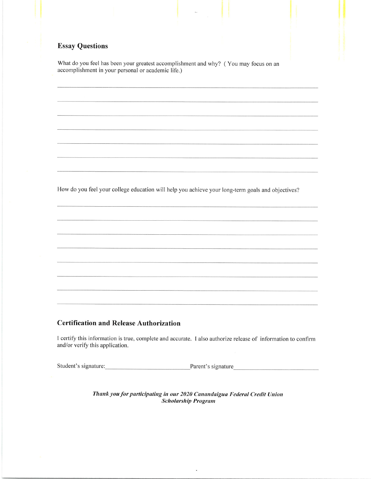## **Essay Questions**

What do you feel has been your greatest accomplishment and why? (You may focus on an accomplishment in your personal or academic life.)

How do you feel your college education will help you achieve your long-term goals and objectives?

#### **Certification and Release Authorization**

I certify this information is true, complete and accurate. I also authorize release of information to confirm and/or verify this application.

Student's signature:

Parent's signature

Thank you for participating in our 2020 Canandaigua Federal Credit Union **Scholarship Program** 

 $\tilde{\phantom{a}}$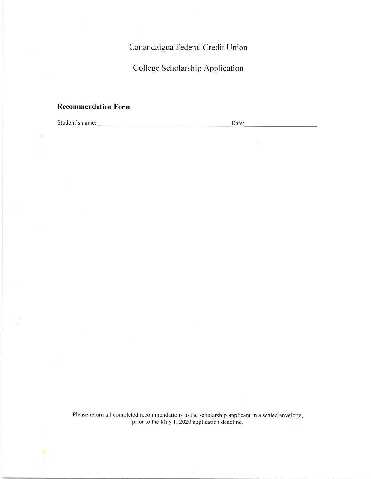Canandaigua Federal Credit Union

College Scholarship Application

#### Recommendation Form

Student's name: Date:

Please return all completed recommendations to the scholarship applicant in a sealed envelope, prior to the May 1, 2020 application deadline.

 $\ddot{\phantom{a}}$